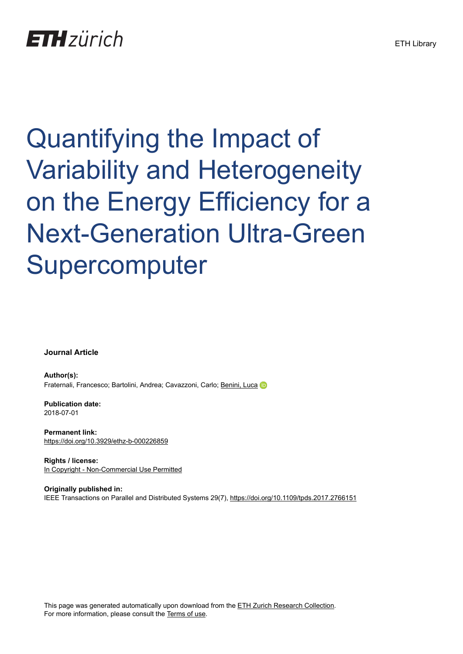# Quantifying the Impact of Variability and Heterogeneity on the Energy Efficiency for a Next-Generation Ultra-Green Supercomputer

**Journal Article**

**Author(s):** Fraternali, Francesco; Bartolini, Andrea; Cavazzoni, Carlo; [Benini, Luca](https://orcid.org/0000-0001-8068-3806) D

**Publication date:** 2018-07-01

**Permanent link:** <https://doi.org/10.3929/ethz-b-000226859>

**Rights / license:** [In Copyright - Non-Commercial Use Permitted](http://rightsstatements.org/page/InC-NC/1.0/)

**Originally published in:** IEEE Transactions on Parallel and Distributed Systems 29(7),<https://doi.org/10.1109/tpds.2017.2766151>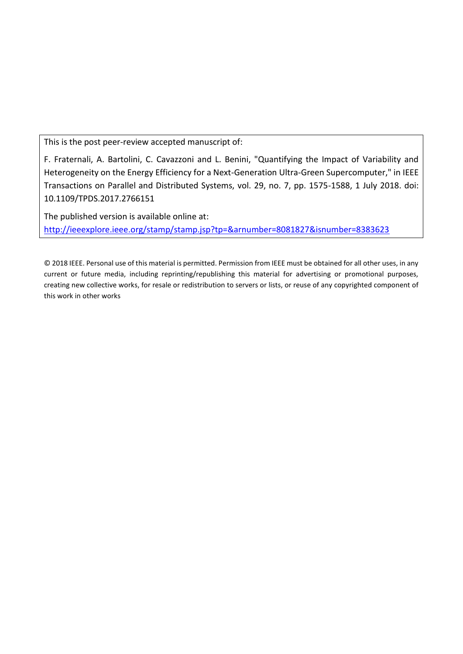This is the post peer-review accepted manuscript of:

F. Fraternali, A. Bartolini, C. Cavazzoni and L. Benini, "Quantifying the Impact of Variability and Heterogeneity on the Energy Efficiency for a Next-Generation Ultra-Green Supercomputer," in IEEE Transactions on Parallel and Distributed Systems, vol. 29, no. 7, pp. 1575-1588, 1 July 2018. doi: 10.1109/TPDS.2017.2766151

The published version is available online at: <http://ieeexplore.ieee.org/stamp/stamp.jsp?tp=&arnumber=8081827&isnumber=8383623>

© 2018 IEEE. Personal use of this material is permitted. Permission from IEEE must be obtained for all other uses, in any current or future media, including reprinting/republishing this material for advertising or promotional purposes, creating new collective works, for resale or redistribution to servers or lists, or reuse of any copyrighted component of this work in other works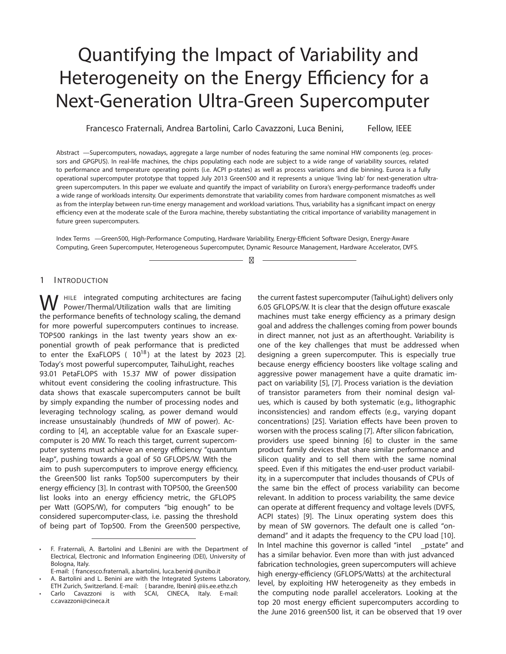# Quantifying the Impact of Variability and Heterogeneity on the Energy Efficiency for a Next-Generation Ultra-Green Supercomputer

Francesco Fraternali, Andrea Bartolini, Carlo Cavazzoni, Luca Benini, *Fellow, IEEE*

**Abstract** —Supercomputers, nowadays, aggregate a large number of nodes featuring the same nominal HW components (eg. processors and GPGPUS). In real-life machines, the chips populating each node are subject to a wide range of variability sources, related to performance and temperature operating points (i.e. ACPI p-states) as well as process variations and die binning. Eurora is a fully operational supercomputer prototype that topped July 2013 Green500 and it represents a unique 'living lab' for next-generation ultragreen supercomputers. In this paper we evaluate and quantify the impact of variability on Eurora's energy-performance tradeoffs under a wide range of workloads intensity. Our experiments demonstrate that variability comes from hardware component mismatches as well as from the interplay between run-time energy management and workload variations. Thus, variability has a significant impact on energy efficiency even at the moderate scale of the Eurora machine, thereby substantiating the critical importance of variability management in future green supercomputers.

**Index Terms** —Green500, High-Performance Computing, Hardware Variability, Energy-Efficient Software Design, Energy-Aware Computing, Green Supercomputer, Heterogeneous Supercomputer, Dynamic Resource Management, Hardware Accelerator, DVFS.

X

**1 I NTRODUCTION**

**W** HILE integrated computing architectures are facing<br>the performance benefits of technology scaling, the demand HILE integrated computing architectures are facing Power/Thermal/Utilization walls that are limiting for more powerful supercomputers continues to increase. TOP500 rankings in the last twenty years show an exponential growth of peak performance that is predicted to enter the ExaFLOPS ( $10^{18}$ ) at the latest by 2023 [2]. Today's most powerful supercomputer, TaihuLight, reaches 93.01 PetaFLOPS with 15.37 MW of power dissipation whitout event considering the cooling infrastructure. This data shows that exascale supercomputers cannot be built by simply expanding the number of processing nodes and leveraging technology scaling, as power demand would increase unsustainably (hundreds of MW of power). According to [4], an acceptable value for an Exascale supercomputer is 20 MW. To reach this target, current supercomputer systems must achieve an energy efficiency "quantum leap", pushing towards a goal of 50 GFLOPS/W. With the aim to push supercomputers to improve energy efficiency, the Green500 list ranks Top500 supercomputers by their energy efficiency [3]. In contrast with TOP500, the Green500 list looks into an energy efficiency metric, the GFLOPS per Watt (GOPS/W), for computers "big enough" to be considered supercomputer-class, i.e. passing the threshold of being part of Top500. From the Green500 perspective,

the current fastest supercomputer (TaihuLight) delivers only 6.05 GFLOPS/W. It is clear that the design offuture exascale machines must take energy efficiency as a primary design goal and address the challenges coming from power bounds in direct manner, not just as an afterthought. Variability is one of the key challenges that must be addressed when designing a green supercomputer. This is especially true because energy efficiency boosters like voltage scaling and aggressive power management have a quite dramatic impact on variability [5], [7]. Process variation is the deviation of transistor parameters from their nominal design values, which is caused by both systematic (e.g., lithographic inconsistencies) and random effects (e.g., varying dopant concentrations) [25]. Variation effects have been proven to worsen with the process scaling [7]. After silicon fabrication, providers use speed binning [6] to cluster in the same product family devices that share similar performance and silicon quality and to sell them with the same nominal speed. Even if this mitigates the end-user product variability, in a supercomputer that includes thousands of CPUs of the same bin the effect of process variability can become relevant. In addition to process variability, the same device can operate at different frequency and voltage levels (DVFS, ACPI states) [9]. The Linux operating system does this by mean of SW governors. The default one is called "ondemand" and it adapts the frequency to the CPU load [10]. In Intel machine this governor is called "intel \_pstate" and has a similar behavior. Even more than with just advanced fabrication technologies, green supercomputers will achieve high energy-efficiency (GFLOPS/Watts) at the architectural level, by exploiting HW heterogeneity as they embeds in the computing node parallel accelerators. Looking at the top 20 most energy efficient supercomputers according to the June 2016 green500 list, it can be observed that 19 over

<sup>•</sup> *F. Fraternali, A. Bartolini and L.Benini are with the Department of Electrical, Electronic and Information Engineering (DEI), University of Bologna, Italy.*

*E-mail:* { *francesco.fraternali, a.bartolini, luca.benini*} *@unibo.it* • *A. Bartolini and L. Benini are with the Integrated Systems Laboratory,*

*ETH Zurich, Switzerland. E-mail:* { *barandre, lbenini*} *@iis.ee.ethz.ch* • *Carlo Cavazzoni is with SCAI, CINECA, Italy. E-mail: c.cavazzoni@cineca.it*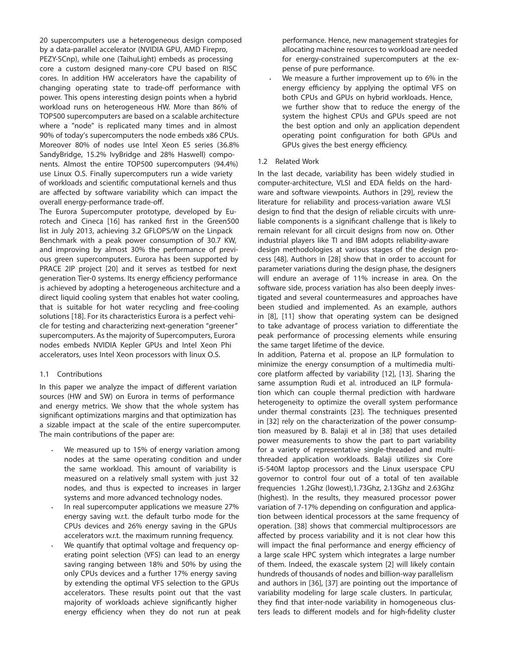20 supercomputers use a heterogeneous design composed by a data-parallel accelerator (NVIDIA GPU, AMD Firepro, PEZY-SCnp), while one (TaihuLight) embeds as processing core a custom designed many-core CPU based on RISC cores. In addition HW accelerators have the capability of changing operating state to trade-off performance with power. This opens interesting design points when a hybrid workload runs on heterogeneous HW. More than 86% of TOP500 supercomputers are based on a scalable architecture where a "node" is replicated many times and in almost 90% of today's supercomputers the node embeds x86 CPUs. Moreover 80% of nodes use Intel Xeon E5 series (36.8% SandyBridge, 15.2% IvyBridge and 28% Haswell) components. Almost the entire TOP500 supercomputers (94.4%) use Linux O.S. Finally supercomputers run a wide variety of workloads and scientific computational kernels and thus are affected by software variability which can impact the overall energy-performance trade-off.

The Eurora Supercomputer prototype, developed by Eurotech and Cineca [16] has ranked first in the Green500 list in July 2013, achieving 3.2 GFLOPS/W on the Linpack Benchmark with a peak power consumption of 30.7 KW, and improving by almost 30% the performance of previous green supercomputers. Eurora has been supported by PRACE 2IP project [20] and it serves as testbed for next generation Tier-0 systems. Its energy efficiency performance is achieved by adopting a heterogeneous architecture and a direct liquid cooling system that enables hot water cooling, that is suitable for hot water recycling and free-cooling solutions [18]. For its characteristics Eurora is a perfect vehicle for testing and characterizing next-generation "greener" supercomputers. As the majority of Supercomputers, Eurora nodes embeds NVIDIA Kepler GPUs and Intel Xeon Phi accelerators, uses Intel Xeon processors with linux O.S.

#### **1.1 Contributions**

In this paper we analyze the impact of different variation sources (HW and SW) on Eurora in terms of performance and energy metrics. We show that the whole system has significant optimizations margins and that optimization has a sizable impact at the scale of the entire supercomputer. The main contributions of the paper are:

- We measured up to 15% of energy variation among nodes at the same operating condition and under the same workload. This amount of variability is measured on a relatively small system with just 32 nodes, and thus is expected to increases in larger systems and more advanced technology nodes.
- In real supercomputer applications we measure 27% energy saving w.r.t. the default turbo mode for the CPUs devices and 26% energy saving in the GPUs accelerators w.r.t. the maximum running frequency.
- We quantify that optimal voltage and frequency operating point selection (VFS) can lead to an energy saving ranging between 18% and 50% by using the only CPUs devices and a further 17% energy saving by extending the optimal VFS selection to the GPUs accelerators. These results point out that the vast majority of workloads achieve significantly higher energy efficiency when they do not run at peak

performance. Hence, new management strategies for allocating machine resources to workload are needed for energy-constrained supercomputers at the expense of pure performance.

We measure a further improvement up to 6% in the energy efficiency by applying the optimal VFS on both CPUs and GPUs on hybrid workloads. Hence, we further show that to reduce the energy of the system the highest CPUs and GPUs speed are not the best option and only an application dependent operating point configuration for both GPUs and GPUs gives the best energy efficiency.

#### **1.2 Related Work**

In the last decade, variability has been widely studied in computer-architecture, VLSI and EDA fields on the hardware and software viewpoints. Authors in [29], review the literature for reliability and process-variation aware VLSI design to find that the design of reliable circuits with unreliable components is a significant challenge that is likely to remain relevant for all circuit designs from now on. Other industrial players like TI and IBM adopts reliability-aware design methodologies at various stages of the design process [48]. Authors in [28] show that in order to account for parameter variations during the design phase, the designers will endure an average of 11% increase in area. On the software side, process variation has also been deeply investigated and several countermeasures and approaches have been studied and implemented. As an example, authors in [8], [11] show that operating system can be designed to take advantage of process variation to differentiate the peak performance of processing elements while ensuring the same target lifetime of the device.

In addition, Paterna et al. propose an ILP formulation to minimize the energy consumption of a multimedia multicore platform affected by variability [12], [13]. Sharing the same assumption Rudi et al. introduced an ILP formulation which can couple thermal prediction with hardware heterogeneity to optimize the overall system performance under thermal constraints [23]. The techniques presented in [32] rely on the characterization of the power consumption measured by B. Balaji et al in [38] that uses detailed power measurements to show the part to part variability for a variety of representative single-threaded and multithreaded application workloads. Balaji utilizes six Core i5-540M laptop processors and the Linux userspace CPU governor to control four out of a total of ten available frequencies 1.2Ghz (lowest),1.73Ghz, 2.13Ghz and 2.63Ghz (highest). In the results, they measured processor power variation of 7-17% depending on configuration and application between identical processors at the same frequency of operation. [38] shows that commercial multiprocessors are affected by process variability and it is not clear how this will impact the final performance and energy efficiency of a large scale HPC system which integrates a large number of them. Indeed, the exascale system [2] will likely contain hundreds of thousands of nodes and billion-way parallelism and authors in [36], [37] are pointing out the importance of variability modeling for large scale clusters. In particular, they find that inter-node variability in homogeneous clusters leads to different models and for high-fidelity cluster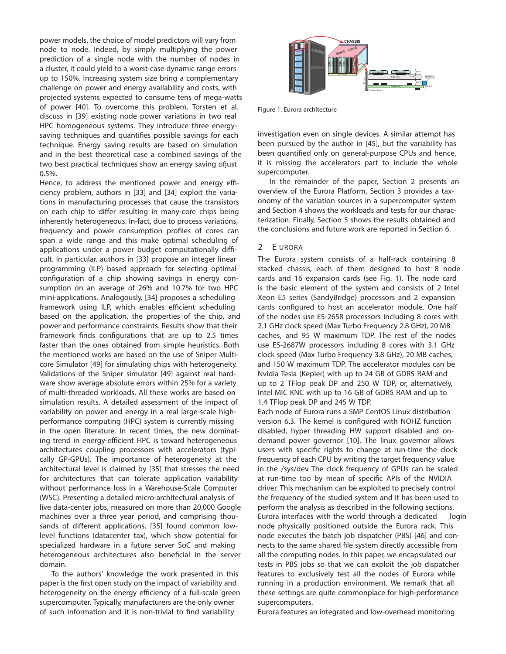power models, the choice of model predictors will vary from node to node. Indeed, by simply multiplying the power prediction of a single node with the number of nodes in a cluster, it could yield to a worst-case dynamic range errors up to 150%. Increasing system size bring a complementary challenge on power and energy availability and costs, with projected systems expected to consume tens of mega-watts of power [40]. To overcome this problem, Torsten et al. discuss in [39] existing node power variations in two real HPC homogeneous systems. They introduce three energysaving techniques and quantifies possible savings for each technique. Energy saving results are based on simulation and in the best theoretical case a combined savings of the two best practical techniques show an energy saving ofjust  $0.5\%$ 

Hence, to address the mentioned power and energy efficiency problem, authors in [33] and [34] exploit the variations in manufacturing processes that cause the transistors on each chip to differ resulting in many-core chips being inherently heterogeneous. In-fact, due to process variations, frequency and power consumption profiles of cores can span a wide range and this make optimal scheduling of applications under a power budget computationally difficult. In particular, authors in [33] propose an integer linear programming (ILP) based approach for selecting optimal configuration of a chip showing savings in energy consumption on an average of 26% and 10.7% for two HPC mini-applications. Analogously, [34] proposes a scheduling framework using ILP, which enables efficient scheduling based on the application, the properties of the chip, and power and performance constraints. Results show that their framework finds configurations that are up to 2.5 times faster than the ones obtained from simple heuristics. Both the mentioned works are based on the use of Sniper Multicore Simulator [49] for simulating chips with heterogeneity. Validations of the Sniper simulator [49] against real hardware show average absolute errors within 25% for a variety of multi-threaded workloads. All these works are based on simulation results. A detailed assessment of the impact of variability on power and energy in a real large-scale highperformance computing (HPC) system is currently missing in the open literature. In recent times, the new dominating trend in energy-efficient HPC is toward heterogeneous architectures coupling processors with accelerators (typically GP-GPUs). The importance of heterogeneity at the architectural level is claimed by [35] that stresses the need for architectures that can tolerate application variability without performance loss in a Warehouse-Scale Computer (WSC). Presenting a detailed micro-architectural analysis of live data-center jobs, measured on more than 20,000 Google machines over a three year period, and comprising thousands of different applications, [35] found common lowlevel functions (datacenter tax), which show potential for specialized hardware in a future server SoC and making heterogeneous architectures also beneficial in the server domain.

To the authors' knowledge the work presented in this paper is the first open study on the impact of variability and heterogeneity on the energy efficiency of a full-scale green supercomputer. Typically, manufacturers are the only owner of such information and it is non-trivial to find variability



Figure 1. Eurora architecture

investigation even on single devices. A similar attempt has been pursued by the author in [45], but the variability has been quantified only on general-purpose CPUs and hence, it is missing the accelerators part to include the whole supercomputer.

In the remainder of the paper, Section 2 presents an overview of the Eurora Platform, Section 3 provides a taxonomy of the variation sources in a supercomputer system and Section 4 shows the workloads and tests for our characterization. Finally, Section 5 shows the results obtained and the conclusions and future work are reported in Section 6.

# **2 E URORA**

The Eurora system consists of a half-rack containing 8 stacked chassis, each of them designed to host 8 node cards and 16 expansion cards (see Fig. 1). The node card is the basic element of the system and consists of 2 Intel Xeon E5 series (SandyBridge) processors and 2 expansion cards configured to host an accelerator module. One half of the nodes use E5-2658 processors including 8 cores with 2.1 GHz clock speed (Max Turbo Frequency 2.8 GHz), 20 MB caches, and 95 W maximum TDP. The rest of the nodes use E5-2687W processors including 8 cores with 3.1 GHz clock speed (Max Turbo Frequency 3.8 GHz), 20 MB caches, and 150 W maximum TDP. The accelerator modules can be Nvidia Tesla (Kepler) with up to 24 GB of GDR5 RAM and up to 2 TFlop peak DP and 250 W TDP, or, alternatively, Intel MIC KNC with up to 16 GB of GDR5 RAM and up to 1.4 TFlop peak DP and 245 W TDP.

Each node of Eurora runs a SMP CentOS Linux distribution version 6.3. The kernel is configured with NOHZ function disabled, hyper threading HW support disabled and ondemand power governor [10]. The linux governor allows users with specific rights to change at run-time the clock frequency of each CPU by writing the target frequency value in the */sys/dev*. The clock frequency of GPUs can be scaled at run-time too by mean of specific APIs of the NVIDIA driver. This mechanism can be exploited to precisely control the frequency of the studied system and it has been used to perform the analysis as described in the following sections. Eurora interfaces with the world through a dedicated *login node*, physically positioned outside the Eurora rack. This node executes the batch job dispatcher (PBS) [46] and connects to the same shared file system directly accessible from all the computing nodes. In this paper, we encapsulated our tests in PBS jobs so that we can exploit the job dispatcher features to exclusively test all the nodes of Eurora while running in a production environment. We remark that all these settings are quite commonplace for high-performance supercomputers.

Eurora features an integrated and low-overhead monitoring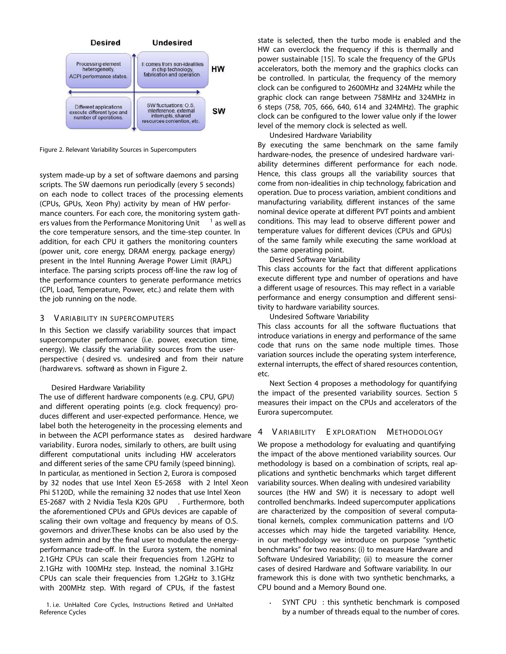

Figure 2. Relevant Variability Sources in Supercomputers

system made-up by a set of software daemons and parsing scripts. The SW daemons run periodically (every 5 seconds) on each node to collect traces of the processing elements (CPUs, GPUs, Xeon Phy) activity by mean of HW performance counters. For each core, the monitoring system gathers values from the Performance Monitoring Unit  $^{-1}$  as well as the core temperature sensors, and the time-step counter. In addition, for each CPU it gathers the monitoring counters (power unit, core energy, DRAM energy, package energy) present in the Intel Running Average Power Limit (RAPL) interface. The parsing scripts process off-line the raw log of the performance counters to generate performance metrics (CPI, Load, Temperature, Power, etc.) and relate them with the job running on the node.

#### **3 V ARIABILITY IN SUPERCOMPUTERS**

In this Section we classify variability sources that impact supercomputer performance (i.e. power, execution time, energy). We classify the variability sources from the userperspective ( *desired* vs. *undesired*) and from their nature (*hardware*vs. *software*) as shown in Figure 2.

#### **Desired Hardware Variability**

The use of different hardware components (e.g. CPU, GPU) and different operating points (e.g. clock frequency) produces different and user-expected performance. Hence, we label both the heterogeneity in the processing elements and in between the ACPI performance states as *desired hardware variability*. Eurora nodes, similarly to others, are built using different computational units including HW accelerators and different series of the same CPU family (speed binning). In particular, as mentioned in Section 2, Eurora is composed by 32 nodes that use Intel Xeon E5-2658 *with 2 Intel Xeon Phi 5120D,* while the remaining 32 nodes that use Intel Xeon E5-2687 with 2 Nvidia Tesla K20s GPU . Furthermore, both the aforementioned CPUs and GPUs devices are capable of scaling their own voltage and frequency by means of O.S. governors and driver.These knobs can be also used by the system admin and by the final user to modulate the energyperformance trade-off. In the Eurora system, the nominal 2.1GHz CPUs can scale their frequencies from 1.2GHz to 2.1GHz with 100MHz step. Instead, the nominal 3.1GHz CPUs can scale their frequencies from 1.2GHz to 3.1GHz with 200MHz step. With regard of CPUs, if the fastest

1. i.e. UnHalted Core Cycles, Instructions Retired and UnHalted Reference Cycles

state is selected, then the turbo mode is enabled and the HW can overclock the frequency if this is thermally and power sustainable [15]. To scale the frequency of the GPUs accelerators, both the memory and the graphics clocks can be controlled. In particular, the frequency of the memory clock can be configured to 2600MHz and 324MHz while the graphic clock can range between 758MHz and 324MHz in 6 steps (758, 705, 666, 640, 614 and 324MHz). The graphic clock can be configured to the lower value only if the lower level of the memory clock is selected as well.

#### **Undesired Hardware Variability**

By executing the same benchmark on the same family hardware-nodes, the presence of undesired hardware variability determines different performance for each node. Hence, this class groups all the variability sources that come from non-idealities in chip technology, fabrication and operation. Due to process variation, ambient conditions and manufacturing variability, different instances of the same nominal device operate at different PVT points and ambient conditions. This may lead to observe different power and temperature values for different devices (CPUs and GPUs) of the same family while executing the same workload at the same operating point.

#### **Desired Software Variability**

This class accounts for the fact that different applications execute different type and number of operations and have a different usage of resources. This may reflect in a variable performance and energy consumption and different sensitivity to hardware variability sources.

**Undesired Software Variability**

This class accounts for all the software fluctuations that introduce variations in energy and performance of the same code that runs on the same node multiple times. Those variation sources include the operating system interference, external interrupts, the effect of shared resources contention, etc.

Next Section 4 proposes a methodology for quantifying the impact of the presented variability sources. Section 5 measures their impact on the CPUs and accelerators of the Eurora supercomputer.

#### **4 V ARIABILITY E XPLORATION METHODOLOGY**

We propose a methodology for evaluating and quantifying the impact of the above mentioned variability sources. Our methodology is based on a combination of scripts, real applications and synthetic benchmarks which target different variability sources. When dealing with undesired variability sources (the HW and SW) it is necessary to adopt well controlled benchmarks. Indeed supercomputer applications are characterized by the composition of several computational kernels, complex communication patterns and I/O accesses which may hide the targeted variability. Hence, in our methodology we introduce on purpose "synthetic benchmarks" for two reasons: (i) to measure Hardware and Software Undesired Variability; (ii) to measure the corner cases of desired Hardware and Software variability. In our framework this is done with two synthetic benchmarks, a CPU bound and a Memory Bound one.

• *SYNT CPU* : this synthetic benchmark is composed by a number of threads equal to the number of cores.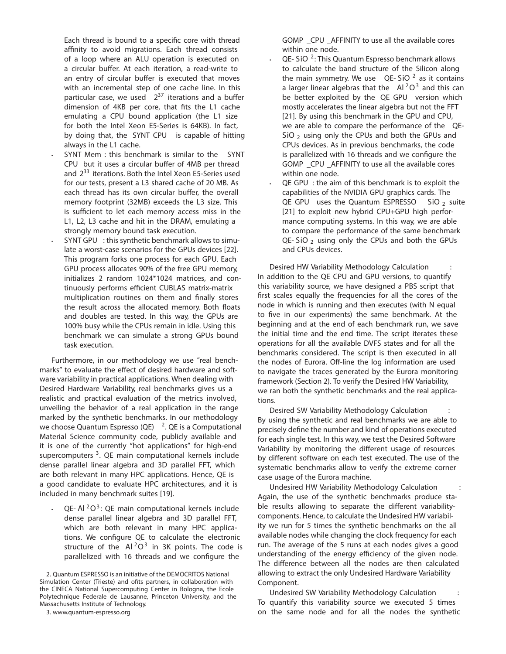Each thread is bound to a specific core with thread affinity to avoid migrations. Each thread consists of a loop where an ALU operation is executed on a circular buffer. At each iteration, a read-write to an entry of circular buffer is executed that moves with an incremental step of one cache line. In this particular case, we used  $2^{37}$  iterations and a buffer dimension of 4KB per core, that fits the L1 cache emulating a CPU bound application (the L1 size for both the Intel Xeon E5-Series is 64KB). In fact, by doing that, the *SYNT CPU* is capable of hitting always in the L1 cache.

- *SYNT Mem* : this benchmark is similar to the *SYNT CPU* but it uses a circular buffer of 4MB per thread and 2 <sup>33</sup> iterations. Both the Intel Xeon E5-Series used for our tests, present a L3 shared cache of 20 MB. As each thread has its own circular buffer, the overall memory footprint (32MB) exceeds the L3 size. This is sufficient to let each memory access miss in the L1, L2, L3 cache and hit in the DRAM, emulating a strongly memory bound task execution.
- *SYNT GPU* : this synthetic benchmark allows to simulate a worst-case scenarios for the GPUs devices [22]. This program forks one process for each GPU. Each GPU process allocates 90% of the free GPU memory, initializes 2 random 1024\*1024 matrices, and continuously performs efficient CUBLAS matrix-matrix multiplication routines on them and finally stores the result across the allocated memory. Both floats and doubles are tested. In this way, the GPUs are 100% busy while the CPUs remain in idle. Using this benchmark we can simulate a strong GPUs bound task execution.

Furthermore, in our methodology we use "real benchmarks" to evaluate the effect of desired hardware and software variability in practical applications. When dealing with Desired Hardware Variability, real benchmarks gives us a realistic and practical evaluation of the metrics involved, unveiling the behavior of a real application in the range marked by the synthetic benchmarks. In our methodology we choose Quantum Espresso (QE)  $\frac{2}{1}$ . QE is a Computational Material Science community code, publicly available and it is one of the currently "hot applications" for high-end supercomputers <sup>3</sup>. QE main computational kernels include dense parallel linear algebra and 3D parallel FFT, which are both relevant in many HPC applications. Hence, QE is a good candidate to evaluate HPC architectures, and it is included in many benchmark suites [19].

. QE- Al <sup>2</sup>O<sup>3</sup>: QE main computational kernels include dense parallel linear algebra and 3D parallel FFT, which are both relevant in many HPC applications. We configure QE to calculate the electronic structure of the  $Al^2O^3$  in 3K points. The code is parallelized with 16 threads and we configure the

2. Quantum ESPRESSO is an initiative of the DEMOCRITOS National Simulation Center (Trieste) and ofits partners, in collaboration with the CINECA National Supercomputing Center in Bologna, the Ecole Polytechnique Federale de Lausanne, Princeton University, and the Massachusetts Institute of Technology.

3. www.quantum-espresso.org

GOMP \_CPU \_AFFINITY to use all the available cores within one node.

- **QE-SiO**<sup>2</sup>: This Quantum Espresso benchmark allows to calculate the band structure of the Silicon along the main symmetry. We use *QE-* SiO <sup>2</sup> as it contains a larger linear algebras that the  $A1^2O^3$  and this can be better exploited by the *QE GPU* version which mostly accelerates the linear algebra but not the FFT [21]. By using this benchmark in the GPU and CPU, we are able to compare the performance of the *QE-* $SiO<sub>2</sub>$  using only the CPUs and both the GPUs and CPUs devices. As in previous benchmarks, the code is parallelized with 16 threads and we configure the GOMP \_CPU \_AFFINITY to use all the available cores within one node.
- *QE GPU* : the aim of this benchmark is to exploit the capabilities of the NVIDIA GPU graphics cards. The *QE GPU* uses the Quantum ESPRESSO SiO <sup>2</sup> suite [21] to exploit new hybrid CPU+GPU high performance computing systems. In this way, we are able to compare the performance of the same benchmark *QE-* SiO <sup>2</sup> using only the CPUs and both the GPUs and CPUs devices.

**Desired HW Variability Methodology Calculation** : In addition to the QE CPU and GPU versions, to quantify this variability source, we have designed a PBS script that first scales equally the frequencies for all the cores of the node in which is running and then executes (with N equal to five in our experiments) the same benchmark. At the beginning and at the end of each benchmark run, we save the initial time and the end time. The script iterates these operations for all the available DVFS states and for all the benchmarks considered. The script is then executed in all the nodes of Eurora. Off-line the log information are used to navigate the traces generated by the Eurora monitoring framework (Section 2). To verify the Desired HW Variability, we ran both the synthetic benchmarks and the real applications.

**Desired SW Variability Methodology Calculation** : By using the synthetic and real benchmarks we are able to precisely define the number and kind of operations executed for each single test. In this way, we test the Desired Software Variability by monitoring the different usage of resources by different software on each test executed. The use of the systematic benchmarks allow to verify the extreme corner case usage of the Eurora machine.

**Undesired HW Variability Methodology Calculation** : Again, the use of the synthetic benchmarks produce stable results allowing to separate the different variabilitycomponents. Hence, to calculate the Undesired HW variability we run for 5 times the synthetic benchmarks on the all available nodes while changing the clock frequency for each run. The average of the 5 runs at each nodes gives a good understanding of the energy efficiency of the given node. The difference between all the nodes are then calculated allowing to extract the only Undesired Hardware Variability Component.

**Undesired SW Variability Methodology Calculation** : To quantify this variability source we executed 5 times on the same node and for all the nodes the synthetic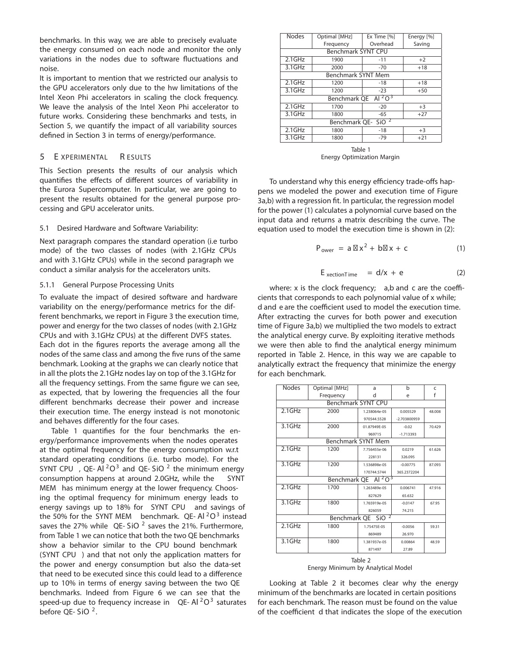benchmarks. In this way, we are able to precisely evaluate the energy consumed on each node and monitor the only variations in the nodes due to software fluctuations and noise.

It is important to mention that we restricted our analysis to the GPU accelerators only due to the hw limitations of the Intel Xeon Phi accelerators in scaling the clock frequency. We leave the analysis of the Intel Xeon Phi accelerator to future works. Considering these benchmarks and tests, in Section 5, we quantify the impact of all variability sources defined in Section 3 in terms of energy/performance.

#### **5 E XPERIMENTAL R ESULTS**

This Section presents the results of our analysis which quantifies the effects of different sources of variability in the Eurora Supercomputer. In particular, we are going to present the results obtained for the general purpose processing and GPU accelerator units.

#### **5.1 Desired Hardware and Software Variability:**

Next paragraph compares the standard operation (i.e turbo mode) of the two classes of nodes (with 2.1GHz CPUs and with 3.1GHz CPUs) while in the second paragraph we conduct a similar analysis for the accelerators units.

#### *5.1.1 General Purpose Processing Units*

To evaluate the impact of desired software and hardware variability on the energy/performance metrics for the different benchmarks, we report in Figure 3 the execution time, power and energy for the two classes of nodes (with 2.1GHz CPUs and with 3.1GHz CPUs) at the different DVFS states. Each dot in the figures reports the average among all the nodes of the same class and among the five runs of the same benchmark. Looking at the graphs we can clearly notice that in all the plots the 2.1GHz nodes lay on top of the 3.1GHz for all the frequency settings. From the same figure we can see, as expected, that by lowering the frequencies all the four different benchmarks decrease their power and increase their execution time. The energy instead is not monotonic and behaves differently for the four cases.

Table 1 quantifies for the four benchmarks the energy/performance improvements when the nodes operates at the optimal frequency for the energy consumption w.r.t standard operating conditions (i.e. turbo mode). For the SYNT CPU, QE- Al<sup>2</sup>O<sup>3</sup> and QE-SiO<sup>2</sup> the minimum energy consumption happens at around 2.0GHz, while the *SYNT MEM* has minimum energy at the lower frequency. Choosing the optimal frequency for minimum energy leads to energy savings up to 18% for *SYNT CPU* and savings of the 50% for the *SYNT MEM* benchmark. *QE-* Al <sup>2</sup>O 3 instead saves the 27% while QE-SiO<sup>2</sup> saves the 21%. Furthermore, from Table 1 we can notice that both the two QE benchmarks show a behavior similar to the CPU bound benchmark (*SYNT CPU* ) and that not only the application matters for the power and energy consumption but also the data-set that need to be executed since this could lead to a difference up to 10% in terms of energy saving between the two QE benchmarks. Indeed from Figure 6 we can see that the speed-up due to frequency increase in QE- Al<sup>2</sup>O<sup>3</sup> saturates before *QE-* SiO <sup>2</sup> .

| <b>Nodes</b>                   | Optimal [MHz]                               | Ex Time $[%]$ | Energy [%] |  |
|--------------------------------|---------------------------------------------|---------------|------------|--|
|                                | Frequency                                   | Overhead      | Saving     |  |
|                                | Benchmark SYNT CPU                          |               |            |  |
| $2.1$ GHz                      | 1900                                        | -11           | $+2$       |  |
| $3.1$ GHz                      | 2000                                        | -70           | $+18$      |  |
|                                | <b>Benchmark SYNT Mem</b>                   |               |            |  |
| $2.1$ GHz                      | 1200                                        | $-18$         | $+18$      |  |
| $3.1$ GHz                      | 1200                                        | $-23$         | $+50$      |  |
|                                | Benchmark QE Al <sup>2</sup> O <sup>3</sup> |               |            |  |
| $2.1$ GHz                      | 1700                                        | $-20$         | $+3$       |  |
| $3.1$ GHz                      | 1800                                        | $-65$         | $+27$      |  |
| Benchmark QE- SiO <sup>2</sup> |                                             |               |            |  |
| $2.1$ GHz                      | 1800                                        | $-18$         | $+3$       |  |
| $3.1$ GHz                      | 1800                                        | $-79$         | $+21$      |  |
|                                |                                             |               |            |  |

Table 1 Energy Optimization Margin

To understand why this energy efficiency trade-offs happens we modeled the power and execution time of Figure 3a,b) with a regression fit. In particular, the regression model for the power (1) calculates a polynomial curve based on the input data and returns a matrix describing the curve. The equation used to model the execution time is shown in (2):

$$
P_{over} = a \boxtimes x^2 + b \boxtimes x + c \tag{1}
$$

$$
E_{\text{xectionTime}} = d/x + e \tag{2}
$$

where: x is the clock frequency; *a,b* and *c* are the coefficients that corresponds to each polynomial value of x while; *d* and *e* are the coefficient used to model the execution time. After extracting the curves for both power and execution time of Figure 3a,b) we multiplied the two models to extract the analytical energy curve. By exploiting iterative methods we were then able to find the analytical energy minimum reported in Table 2. Hence, in this way we are capable to analytically extract the frequency that minimize the energy for each benchmark.

| <b>Nodes</b>                                | Optimal [MHz]             | a                          | b            | C      |  |
|---------------------------------------------|---------------------------|----------------------------|--------------|--------|--|
|                                             | Frequency                 | d                          | e            | f      |  |
|                                             | <b>Benchmark SYNT CPU</b> |                            |              |        |  |
| $2.1$ GHz                                   | 2000                      | 1.238064e-05               | 0.005529     | 48,008 |  |
|                                             |                           | 970544.5528                | -2.703800959 |        |  |
| 3.1GHz                                      | 2000                      | 01.87949E-05               | $-0.02$      | 70.429 |  |
|                                             |                           | 969715                     | $-1.713393$  |        |  |
|                                             | <b>Benchmark SYNT Mem</b> |                            |              |        |  |
| $2.1$ GHz                                   | 1200                      | 7.756455e-06               | 0.0219       | 61.626 |  |
|                                             |                           | 228131                     | 326.095      |        |  |
| $3.1$ GHz                                   | 1200                      | 1.536898e-05<br>$-0.00775$ |              | 87,093 |  |
|                                             |                           | 170744.5744                | 365.2372204  |        |  |
| Benchmark QE Al <sup>2</sup> O <sup>3</sup> |                           |                            |              |        |  |
| $2.1$ GHz                                   | 1700                      | 1.263489e-05               | 0.006741     | 47.916 |  |
|                                             |                           | 827629                     | 65.632       |        |  |
| $3.1$ GHz                                   | 1800                      | 1.765919e-05               | $-0.0147$    | 67.95  |  |
|                                             |                           | 826059                     | 74.215       |        |  |
| Benchmark QE SiO <sup>2</sup>               |                           |                            |              |        |  |
| $2.1$ GHz                                   | 1800                      | 1.75475E-05                | $-0.0056$    | 59.31  |  |
|                                             |                           | 869489                     | 26,970       |        |  |
| $3.1$ GHz                                   | 1800                      | 1.381937e-05               | 0.00864      | 48.59  |  |
|                                             |                           | 871497                     | 27.89        |        |  |
| Table 2                                     |                           |                            |              |        |  |

Energy Minimum by Analytical Model

Looking at Table 2 it becomes clear why the energy minimum of the benchmarks are located in certain positions for each benchmark. The reason must be found on the value of the coefficient *d* that indicates the slope of the execution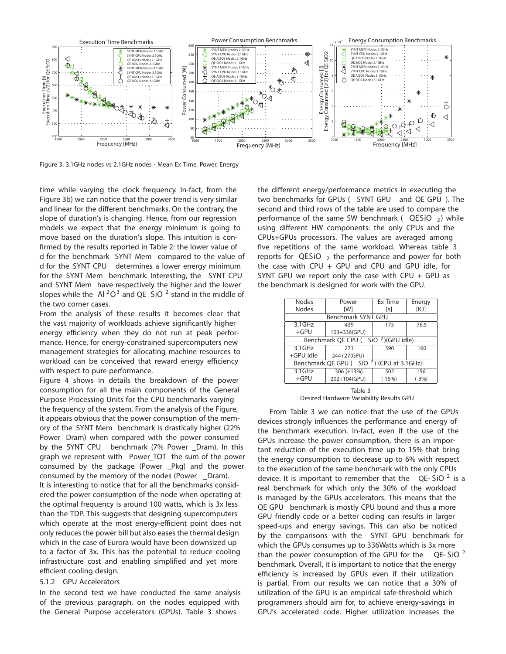

Figure 3. 3.1GHz nodes vs 2.1GHz nodes - Mean Ex Time, Power, Energy

time while varying the clock frequency. In-fact, from the Figure 3b) we can notice that the power trend is very similar and linear for the different benchmarks. On the contrary, the slope of duration's is changing. Hence, from our regression models we expect that the energy minimum is going to move based on the duration's slope. This intuition is confirmed by the results reported in Table 2: the lower value of *d* for the benchmark *SYNT Mem* compared to the value of *d* for the *SYNT CPU* determines a lower energy minimum for the *SYNT Mem* benchmark. Interesting, the *SYNT CPU* and *SYNT Mem* have respectively the higher and the lower slopes while the  $Al^2O^3$  and QE SiO <sup>2</sup> stand in the middle of the two corner cases.

From the analysis of these results it becomes clear that the vast majority of workloads achieve significantly higher energy efficiency when they do not run at peak performance. Hence, for energy-constrained supercomputers new management strategies for allocating machine resources to workload can be conceived that reward energy efficiency with respect to pure performance.

Figure 4 shows in details the breakdown of the power consumption for all the main components of the General Purpose Processing Units for the CPU benchmarks varying the frequency of the system. From the analysis of the Figure, it appears obvious that the power consumption of the memory of the *SYNT Mem* benchmark is drastically higher (22% Power Dram) when compared with the power consumed by the *SYNT CPU* benchmark (7% Power Dram). In this graph we represent with *Power TOT* the sum of the power consumed by the package (Power \_Pkg) and the power consumed by the memory of the nodes (Power \_Dram). It is interesting to notice that for all the benchmarks considered the power consumption of the node when operating at the optimal frequency is around 100 watts, which is 3x less than the TDP. This suggests that designing supercomputers which operate at the most energy-efficient point does not only reduces the power bill but also eases the thermal design which in the case of Eurora would have been downsized up to a factor of 3x. This has the potential to reduce cooling infrastructure cost and enabling simplified and yet more efficient cooling design.

#### *5.1.2 GPU Accelerators*

In the second test we have conducted the same analysis of the previous paragraph, on the nodes equipped with the General Purpose accelerators (GPUs). Table 3 shows

the different energy/performance metrics in executing the two benchmarks for GPUs ( *SYNT GPU* and *QE GPU* ). The second and third rows of the table are used to compare the performance of the same SW benchmark ( $QESiO_2$ ) while using different HW components: the only CPUs and the CPUs+GPUs processors. The values are averaged among five repetitions of the same workload. Whereas table 3 reports for  $QESiO<sub>2</sub>$  the performance and power for both the case with CPU + GPU and CPU and GPU idle, for SYNT GPU we report only the case with CPU + GPU as the benchmark is designed for work with the GPU.

| <b>Nodes</b>                                   | Power                                          | Ex Time  | Energy  |  |
|------------------------------------------------|------------------------------------------------|----------|---------|--|
| <b>Nodes</b>                                   | <b>TW1</b>                                     | [s]      | [KJ]    |  |
|                                                | <b>Benchmark SYNT GPU</b>                      |          |         |  |
| $3.1$ GHz                                      | 439                                            | 175      | 76.5    |  |
| $+$ GPU                                        | 103+336(GPU)                                   |          |         |  |
|                                                | Benchmark QE CPU (SiO <sup>2</sup> )(GPU idle) |          |         |  |
| $3.1$ GHz                                      | 271                                            | 590      | 160     |  |
| +GPU idle                                      | 244+27(GPU)                                    |          |         |  |
| $2$ ) (CPU at 3.1GHz)<br>Benchmark OE GPU (SiO |                                                |          |         |  |
| $3.1$ GHz                                      | $306 (+13%)$                                   | 502      | 156     |  |
| $+$ GPU                                        | 202+104(GPU)                                   | $(-15%)$ | $(-3%)$ |  |
| Table 3                                        |                                                |          |         |  |

Desired Hardware Variability Results GPU

From Table 3 we can notice that the use of the GPUs devices strongly influences the performance and energy of the benchmark execution. In-fact, even if the use of the GPUs increase the power consumption, there is an important reduction of the execution time up to 15% that bring the energy consumption to decrease up to 6% with respect to the execution of the same benchmark with the only CPUs device. It is important to remember that the **QE-** SiO <sup>2</sup> is a real benchmark for which only the 30% of the workload is managed by the GPUs accelerators. This means that the *QE GPU* benchmark is mostly CPU bound and thus a more GPU friendly code or a better coding can results in larger speed-ups and energy savings. This can also be noticed by the comparisons with the *SYNT GPU* benchmark for which the GPUs consumes up to 336Watts which is 3x more than the power consumption of the GPU for the *QE-* SiO <sup>2</sup> benchmark. Overall, it is important to notice that the energy efficiency is increased by GPUs even if their utilization is partial. From our results we can notice that a 30% of utilization of the GPU is an empirical safe-threshold which programmers should aim for, to achieve energy-savings in GPU's accelerated code. Higher utilization increases the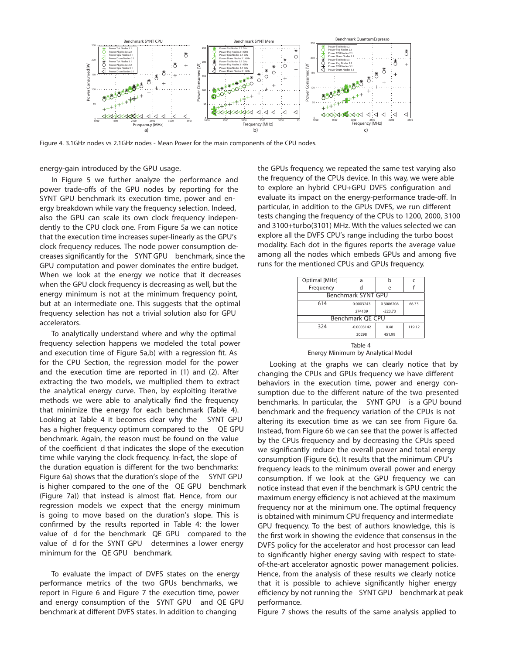

Figure 4. 3.1GHz nodes vs 2.1GHz nodes - Mean Power for the main components of the CPU nodes.

energy-gain introduced by the GPU usage.

In Figure 5 we further analyze the performance and power trade-offs of the GPU nodes by reporting for the SYNT GPU benchmark its execution time, power and energy breakdown while vary the frequency selection. Indeed, also the GPU can scale its own clock frequency independently to the CPU clock one. From Figure 5a we can notice that the execution time increases super-linearly as the GPU's clock frequency reduces. The node power consumption decreases significantly for the *SYNT GPU* benchmark, since the GPU computation and power dominates the entire budget. When we look at the energy we notice that it decreases when the GPU clock frequency is decreasing as well, but the energy minimum is not at the minimum frequency point, but at an intermediate one. This suggests that the optimal frequency selection has not a trivial solution also for GPU accelerators.

To analytically understand where and why the optimal frequency selection happens we modeled the total power and execution time of Figure 5a,b) with a regression fit. As for the CPU Section, the regression model for the power and the execution time are reported in (1) and (2). After extracting the two models, we multiplied them to extract the analytical energy curve. Then, by exploiting iterative methods we were able to analytically find the frequency that minimize the energy for each benchmark (Table 4). Looking at Table 4 it becomes clear why the *SYNT GPU* has a higher frequency optimum compared to the *QE GPU* benchmark. Again, the reason must be found on the value of the coefficient *d* that indicates the slope of the execution time while varying the clock frequency. In-fact, the slope of the duration equation is different for the two benchmarks: Figure 6a) shows that the duration's slope of the *SYNT GPU* is higher compared to the one of the *QE GPU* benchmark (Figure 7a)) that instead is almost flat. Hence, from our regression models we expect that the energy minimum is going to move based on the duration's slope. This is confirmed by the results reported in Table 4: the lower value of *d* for the benchmark *QE GPU* compared to the value of *d* for the *SYNT GPU* determines a lower energy minimum for the *QE GPU* benchmark.

To evaluate the impact of DVFS states on the energy performance metrics of the two GPUs benchmarks, we report in Figure 6 and Figure 7 the execution time, power and energy consumption of the *SYNT GPU* and *QE GPU* benchmark at different DVFS states. In addition to changing

the GPUs frequency, we repeated the same test varying also the frequency of the CPUs device. In this way, we were able to explore an hybrid CPU+GPU DVFS configuration and evaluate its impact on the energy-performance trade-off. In particular, in addition to the GPUs DVFS, we run different tests changing the frequency of the CPUs to 1200, 2000, 3100 and 3100+turbo(3101) MHz. With the values selected we can explore all the DVFS CPU's range including the turbo boost modality. Each dot in the figures reports the average value among all the nodes which embeds GPUs and among five runs for the mentioned CPUs and GPUs frequency.

| Optimal [MHz] | a                       | h         |        |
|---------------|-------------------------|-----------|--------|
| Frequency     |                         | e         |        |
|               | Benchmark SYNT GPU      |           |        |
| 614           | 0.0003243               | 0.3086208 | 66.33  |
|               | 274139                  | $-223.73$ |        |
|               | <b>Benchmark QE CPU</b> |           |        |
| 324           | $-0.0003142$            | 0.48      | 119.12 |
|               | 30298                   | 451.99    |        |
|               |                         |           |        |

Table 4 Energy Minimum by Analytical Model

Looking at the graphs we can clearly notice that by changing the CPUs and GPUs frequency we have different behaviors in the execution time, power and energy consumption due to the different nature of the two presented benchmarks. In particular, the *SYNT GPU* is a GPU bound benchmark and the frequency variation of the CPUs is not altering its execution time as we can see from Figure 6a. Instead, from Figure 6b we can see that the power is affected by the CPUs frequency and by decreasing the CPUs speed we significantly reduce the overall power and total energy consumption (Figure 6c). It results that the minimum CPU's frequency leads to the minimum overall power and energy consumption. If we look at the GPU frequency we can notice instead that even if the benchmark is GPU centric the maximum energy efficiency is not achieved at the maximum frequency nor at the minimum one. The optimal frequency is obtained with minimum CPU frequency and intermediate GPU frequency. To the best of authors knowledge, this is the first work in showing the evidence that consensus in the DVFS policy for the accelerator and host processor can lead to significantly higher energy saving with respect to stateof-the-art accelerator agnostic power management policies. Hence, from the analysis of these results we clearly notice that it is possible to achieve significantly higher energy efficiency by not running the *SYNT GPU* benchmark at peak performance.

Figure 7 shows the results of the same analysis applied to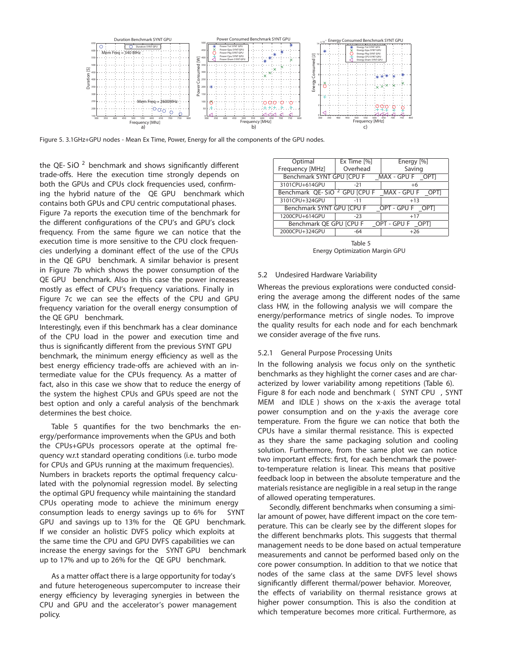

Figure 5. 3.1GHz+GPU nodes - Mean Ex Time, Power, Energy for all the components of the GPU nodes.

the *QE-* SiO <sup>2</sup> benchmark and shows significantly different trade-offs. Here the execution time strongly depends on both the GPUs and CPUs clock frequencies used, confirming the hybrid nature of the *QE GPU* benchmark which contains both GPUs and CPU centric computational phases. Figure 7a reports the execution time of the benchmark for the different configurations of the CPU's and GPU's clock frequency. From the same figure we can notice that the execution time is more sensitive to the CPU clock frequencies underlying a dominant effect of the use of the CPUs in the *QE GPU* benchmark. A similar behavior is present in Figure 7b which shows the power consumption of the *QE GPU* benchmark. Also in this case the power increases mostly as effect of CPU's frequency variations. Finally in Figure 7c we can see the effects of the CPU and GPU frequency variation for the overall energy consumption of the *QE GPU* benchmark.

Interestingly, even if this benchmark has a clear dominance of the CPU load in the power and execution time and thus is significantly different from the previous SYNT GPU benchmark, the minimum energy efficiency as well as the best energy efficiency trade-offs are achieved with an intermediate value for the CPUs frequency. As a matter of fact, also in this case we show that to reduce the energy of the system the highest CPUs and GPUs speed are not the best option and only a careful analysis of the benchmark determines the best choice.

Table 5 quantifies for the two benchmarks the energy/performance improvements when the GPUs and both the CPUs+GPUs processors operate at the optimal frequency w.r.t standard operating conditions (i.e. turbo mode for CPUs and GPUs running at the maximum frequencies). Numbers in brackets reports the optimal frequency calculated with the polynomial regression model. By selecting the optimal GPU frequency while maintaining the standard CPUs operating mode to achieve the minimum energy consumption leads to energy savings up to 6% for *SYNT GPU* and savings up to 13% for the *QE GPU* benchmark. If we consider an holistic DVFS policy which exploits at the same time the CPU and GPU DVFS capabilities we can increase the energy savings for the *SYNT GPU* benchmark up to 17% and up to 26% for the *QE GPU* benchmark.

As a matter offact there is a large opportunity for today's and future heterogeneous supercomputer to increase their energy efficiency by leveraging synergies in between the CPU and GPU and the accelerator's power management policy.

| Optimal                                   | Ex Time $[%]$ | Energy [%]                                                |  |  |
|-------------------------------------------|---------------|-----------------------------------------------------------|--|--|
| Frequency [MHz]                           | Overhead      | Saving                                                    |  |  |
| <b>Benchmark SYNT GPU [CPU F</b>          |               | MAX-GPUF OPTI                                             |  |  |
| 3101CPU+614GPU                            | $-21$         | $+6$                                                      |  |  |
|                                           |               | Benchmark QE-SiO <sup>2</sup> GPU [CPU F MAX - GPU F OPT] |  |  |
| 3101CPU+324GPU                            | $-11$         | $+13$                                                     |  |  |
| Benchmark SYNT GPU [CPU F<br>OPT-GPUF OPT |               |                                                           |  |  |
| 1200CPU+614GPU                            | $-23$         | $+17$                                                     |  |  |
| Benchmark QE GPU [CPU F<br>OPT-GPUF OPT   |               |                                                           |  |  |
| 2000CPU+324GPU                            | $-64$         | $+26$                                                     |  |  |

Table 5 Energy Optimization Margin GPU

#### **5.2 Undesired Hardware Variability**

Whereas the previous explorations were conducted considering the average among the different nodes of the same class HW, in the following analysis we will compare the energy/performance metrics of single nodes. To improve the quality results for each node and for each benchmark we consider average of the five runs.

#### *5.2.1 General Purpose Processing Units*

In the following analysis we focus only on the synthetic benchmarks as they highlight the corner cases and are characterized by lower variability among repetitions (Table 6). Figure 8 for each node and benchmark ( *SYNT CPU* , *SYNT MEM* and *IDLE* ) shows on the x-axis the average total power consumption and on the y-axis the average core temperature. From the figure we can notice that both the CPUs have a similar thermal resistance. This is expected as they share the same packaging solution and cooling solution. Furthermore, from the same plot we can notice two important effects: first, for each benchmark the powerto-temperature relation is linear. This means that positive feedback loop in between the absolute temperature and the materials resistance are negligible in a real setup in the range of allowed operating temperatures.

Secondly, different benchmarks when consuming a similar amount of power, have different impact on the core temperature. This can be clearly see by the different slopes for the different benchmarks plots. This suggests that thermal management needs to be done based on actual temperature measurements and cannot be performed based only on the core power consumption. In addition to that we notice that nodes of the same class at the same DVFS level shows significantly different thermal/power behavior. Moreover, the effects of variability on thermal resistance grows at higher power consumption. This is also the condition at which temperature becomes more critical. Furthermore, as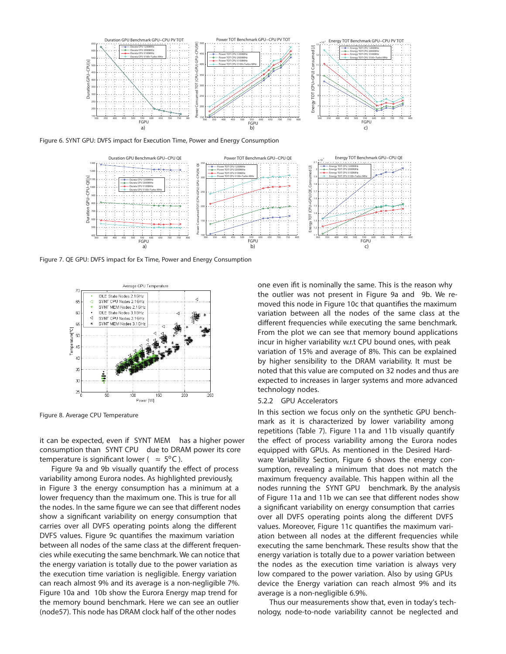

Figure 6. SYNT GPU: DVFS impact for Execution Time, Power and Energy Consumption



Figure 7. QE GPU: DVFS impact for Ex Time, Power and Energy Consumption



Figure 8. Average CPU Temperature

it can be expected, even if *SYNT MEM* has a higher power consumption than *SYNT CPU* due to DRAM power its core temperature is significant lower (  $\approx$  5°C).

Figure 9a and 9b visually quantify the effect of process variability among Eurora nodes. As highlighted previously, in Figure 3 the energy consumption has a minimum at a lower frequency than the maximum one. This is true for all the nodes. In the same figure we can see that different nodes show a significant variability on energy consumption that carries over all DVFS operating points along the different DVFS values. Figure 9c quantifies the maximum variation between all nodes of the same class at the different frequencies while executing the same benchmark. We can notice that the energy variation is totally due to the power variation as the execution time variation is negligible. Energy variation can reach almost 9% and its average is a non-negligible 7%. Figure 10a and 10b show the Eurora Energy map trend for the memory bound benchmark. Here we can see an outlier (node57). This node has DRAM clock half of the other nodes

one even ifit is nominally the same. This is the reason why the outlier was not present in Figure 9a and 9b. We removed this node in Figure 10c that quantifies the maximum variation between all the nodes of the same class at the different frequencies while executing the same benchmark. From the plot we can see that memory bound applications incur in higher variability w.r.t CPU bound ones, with peak variation of 15% and average of 8%. This can be explained by higher sensibility to the DRAM variability. It must be noted that this value are computed on 32 nodes and thus are expected to increases in larger systems and more advanced technology nodes.

#### *5.2.2 GPU Accelerators*

In this section we focus only on the synthetic GPU benchmark as it is characterized by lower variability among repetitions (Table 7). Figure 11a and 11b visually quantify the effect of process variability among the Eurora nodes equipped with GPUs. As mentioned in the Desired Hardware Variability Section, Figure 6 shows the energy consumption, revealing a minimum that does not match the maximum frequency available. This happen within all the nodes running the *SYNT GPU* benchmark. By the analysis of Figure 11a and 11b we can see that different nodes show a significant variability on energy consumption that carries over all DVFS operating points along the different DVFS values. Moreover, Figure 11c quantifies the maximum variation between all nodes at the different frequencies while executing the same benchmark. These results show that the energy variation is totally due to a power variation between the nodes as the execution time variation is always very low compared to the power variation. Also by using GPUs device the Energy variation can reach almost 9% and its average is a non-negligible 6.9%.

Thus our measurements show that, even in today's technology, node-to-node variability cannot be neglected and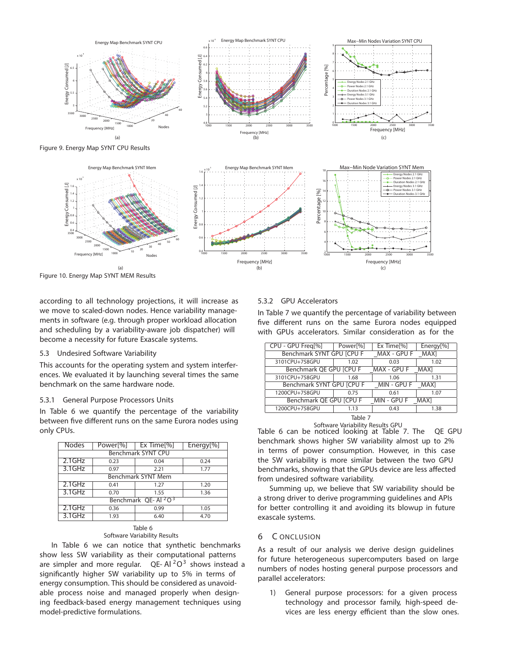

Figure 10. Energy Map SYNT MEM Results

according to all technology projections, it will increase as we move to scaled-down nodes. Hence variability managements in software (e.g. through proper workload allocation and scheduling by a variability-aware job dispatcher) will become a necessity for future Exascale systems.

# **5.3 Undesired Software Variability**

This accounts for the operating system and system interferences. We evaluated it by launching several times the same benchmark on the same hardware node.

# *5.3.1 General Purpose Processors Units*

In Table 6 we quantify the percentage of the variability between five different runs on the same Eurora nodes using only CPUs.

| <b>Nodes</b>                                 | Power <sup>[%]</sup> | $Ex Time$ [%]      | Energy <sup>[%]</sup> |  |  |
|----------------------------------------------|----------------------|--------------------|-----------------------|--|--|
|                                              |                      |                    |                       |  |  |
|                                              |                      | Benchmark SYNT CPU |                       |  |  |
| $2.1$ GHz                                    | 0.23                 | 0.04               | 0.24                  |  |  |
| $3.1$ GHz                                    | 0.97                 | 2.21               | 1.77                  |  |  |
| Benchmark SYNT Mem                           |                      |                    |                       |  |  |
| $2.1$ GHz                                    | 0.41                 | 1.27               | 1.20                  |  |  |
| $3.1$ GHz                                    | 0.70                 | 1.55               | 1.36                  |  |  |
| Benchmark QE- Al <sup>2</sup> O <sup>3</sup> |                      |                    |                       |  |  |
| $2.1$ GHz                                    | 0.36                 | 0.99               | 1.05                  |  |  |
| $3.1$ GHz                                    | 1.93                 | 6.40               | 4.70                  |  |  |
| Table 6                                      |                      |                    |                       |  |  |

# Software Variability Results

In Table 6 we can notice that synthetic benchmarks show less SW variability as their computational patterns are simpler and more regular. QE-Al<sup>2</sup>O<sup>3</sup> shows instead a significantly higher SW variability up to 5% in terms of energy consumption. This should be considered as unavoidable process noise and managed properly when designing feedback-based energy management techniques using model-predictive formulations.

# *5.3.2 GPU Accelerators*

In Table 7 we quantify the percentage of variability between five different runs on the same Eurora nodes equipped with GPUs accelerators. Similar consideration as for the

| CPU - GPU Freq[%]                                          | Power[%]    | $Ex$ Time $[%]$ | Energy[%] |  |  |
|------------------------------------------------------------|-------------|-----------------|-----------|--|--|
| Benchmark SYNT GPU [CPU F                                  | MAX - GPU F | MAX]            |           |  |  |
| 3101CPU+758GPU                                             | 1.02        | 0.03            | 1.02      |  |  |
| Benchmark QE GPU [CPU F                                    |             | MAX - GPU F     | MAX]      |  |  |
| 3101CPU+758GPU                                             | 1.68        | 1.06            | 1.31      |  |  |
| Benchmark SYNT GPU [CPU F<br>MIN - GPU F<br>MAX1           |             |                 |           |  |  |
| 1200CPU+758GPU                                             | 0.75        | 0.61            | 1.07      |  |  |
| Benchmark QE GPU [CPU F<br>MIN - GPU F<br>MAX <sub>1</sub> |             |                 |           |  |  |
| 1200CPU+758GPU                                             | 1.13        | 0.43            | 1.38      |  |  |
|                                                            | Table 7     |                 |           |  |  |

|  |  | iabie 7 |                            |  |
|--|--|---------|----------------------------|--|
|  |  |         | a <i>Vor</i> iabilita Doca |  |

Software Variability Results GPU Table 6 can be noticed looking at Table 7. The *QE GPU* benchmark shows higher SW variability almost up to 2% in terms of power consumption. However, in this case the SW variability is more similar between the two GPU benchmarks, showing that the GPUs device are less affected from undesired software variability.

Summing up, we believe that SW variability should be a strong driver to derive programming guidelines and APIs for better controlling it and avoiding its blowup in future exascale systems.

# **6 C ONCLUSION**

As a result of our analysis we derive design guidelines for future heterogeneous supercomputers based on large numbers of nodes hosting general purpose processors and parallel accelerators:

1) General purpose processors: for a given process technology and processor family, high-speed devices are less energy efficient than the slow ones.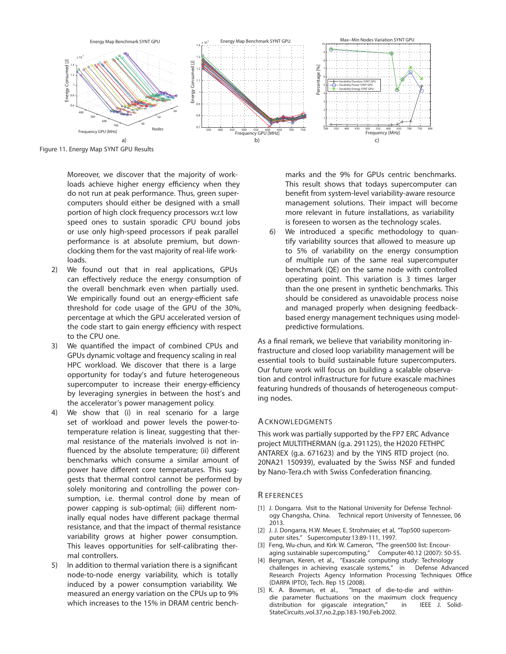

Figure 11. Energy Map SYNT GPU Results

Moreover, we discover that the majority of workloads achieve higher energy efficiency when they do not run at peak performance. Thus, green supercomputers should either be designed with a small portion of high clock frequency processors w.r.t low speed ones to sustain sporadic CPU bound jobs or use only high-speed processors if peak parallel performance is at absolute premium, but downclocking them for the vast majority of real-life workloads.

- 2) We found out that in real applications, GPUs can effectively reduce the energy consumption of the overall benchmark even when partially used. We empirically found out an energy-efficient safe threshold for code usage of the GPU of the 30%, percentage at which the GPU accelerated version of the code start to gain energy efficiency with respect to the CPU one.
- 3) We quantified the impact of combined CPUs and GPUs dynamic voltage and frequency scaling in real HPC workload. We discover that there is a large opportunity for today's and future heterogeneous supercomputer to increase their energy-efficiency by leveraging synergies in between the host's and the accelerator's power management policy.
- 4) We show that (i) in real scenario for a large set of workload and power levels the power-totemperature relation is linear, suggesting that thermal resistance of the materials involved is not influenced by the absolute temperature; (ii) different benchmarks which consume a similar amount of power have different core temperatures. This suggests that thermal control cannot be performed by solely monitoring and controlling the power consumption, i.e. thermal control done by mean of power capping is sub-optimal; (iii) different nominally equal nodes have different package thermal resistance, and that the impact of thermal resistance variability grows at higher power consumption. This leaves opportunities for self-calibrating thermal controllers.
- 5) In addition to thermal variation there is a significant node-to-node energy variability, which is totally induced by a power consumption variability. We measured an energy variation on the CPUs up to 9% which increases to the 15% in DRAM centric bench-

marks and the 9% for GPUs centric benchmarks. This result shows that todays supercomputer can benefit from system-level variability-aware resource management solutions. Their impact will become more relevant in future installations, as variability is foreseen to worsen as the technology scales.

6) We introduced a specific methodology to quantify variability sources that allowed to measure up to 5% of variability on the energy consumption of multiple run of the same real supercomputer benchmark (QE) on the same node with controlled operating point. This variation is 3 times larger than the one present in synthetic benchmarks. This should be considered as unavoidable process noise and managed properly when designing feedbackbased energy management techniques using modelpredictive formulations.

As a final remark, we believe that variability monitoring infrastructure and closed loop variability management will be essential tools to build sustainable future supercomputers. Our future work will focus on building a scalable observation and control infrastructure for future exascale machines featuring hundreds of thousands of heterogeneous computing nodes.

# **ACKNOWLEDGMENTS**

This work was partially supported by the FP7 ERC Advance project MULTITHERMAN (g.a. 291125), the H2020 FETHPC ANTAREX (g.a. 671623) and by the YINS RTD project (no. 20NA21 150939), evaluated by the Swiss NSF and funded by Nano-Tera.ch with Swiss Confederation financing.

#### **R EFERENCES**

- [1] J. Dongarra. Visit to the National University for Defense Technology Changsha, China. *Technical report*, University of Tennessee, 06 2013.
- [2] J. J. Dongarra, H.W. Meuer, E. Strohmaier, et al, "Top500 supercomputer sites." *Supercomputer*, 13:89-111, 1997.
- [3] Feng, Wu-chun, and Kirk W. Cameron, "The green500 list: Encouraging sustainable supercomputing," *Computer*40.12 (2007): 50-55.
- Bergman, Keren, et al., "Exascale computing study: Technology challenges in achieving exascale systems," in *Defense Advanced Research Projects Agency Information Processing Techniques Office* (DARPA IPTO), Tech. Rep 15 (2008).
- [5] K. A. Bowman, et al., "Impact of die-to-die and withindie parameter fluctuations on the maximum clock frequency<br>distribution for gigascale integration," in IEEE J. Soliddistribution for gigascale integration," in *StateCircuits*,vol.37,no.2,pp.183-190,Feb.2002.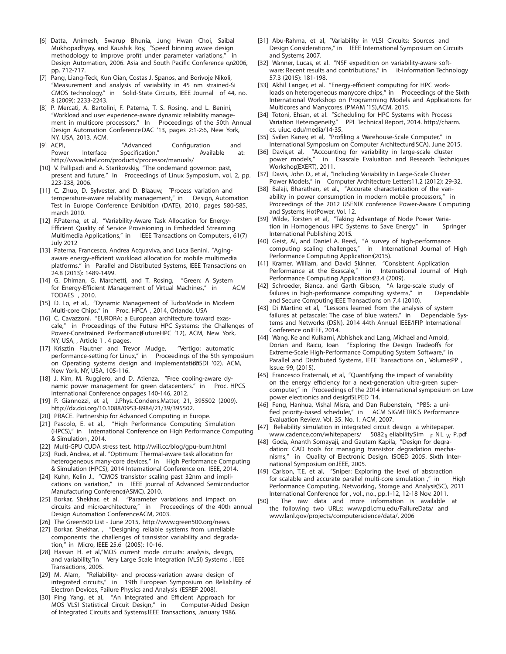- [6] Datta, Animesh, Swarup Bhunia, Jung Hwan Choi, Saibal Mukhopadhyay, and Kaushik Roy, "Speed binning aware design methodology to improve profit under parameter variations," in Design Automation, 2006. Asia and South Pacific Conference on<sup>2006</sup>, pp. 712-717.
- [7] Pang, Liang-Teck, Kun Qian, Costas J. Spanos, and Borivoje Nikoli, "Measurement and analysis of variability in 45 nm strained-Si CMOS technology," in *Solid-State Circuits, IEEE Journal* of 44, no. 8 (2009): 2233-2243.
- [8] P. Mercati, A. Bartolini, F. Paterna, T. S. Rosing, and L. Benini, "Workload and user experience-aware dynamic reliability management in multicore processors," In *Proceedings of the 50th Annual Design Automation Conference*, DAC '13, pages 2:1-2:6, New York, NY, USA, 2013. ACM.
- [9] ACPI, **marging and Mathem Configuration** and Power Interface Specification **Configuration** and Power Interface Specification," Available at: http://www.Intel.com/products/processor/manuals/
- [10] V. Pallipadi and A. Starikovskiy, "The ondemand governor: past, present and future," In *Proceedings of Linux Symposium, vol. 2, pp. 223-238*, 2006.
- [11] C. Zhuo, D. Sylvester, and D. Blaauw, "Process variation and temperature-aware reliability management," in *Design, Automation Test in Europe Conference Exhibition (DATE), 2010* , pages 580-585, march 2010.
- [12] F.Paterna, et al, "Variability-Aware Task Allocation for Energy-Efficient Quality of Service Provisioning in Embedded Streaming Multimedia Applications," in *IEEE Transactions on Computers*, 61(7) July 2012
- [13] Paterna, Francesco, Andrea Acquaviva, and Luca Benini. "Agingaware energy-efficient workload allocation for mobile multimedia platforms." in *Parallel and Distributed Systems, IEEE Transactions on* 24.8 (2013): 1489-1499.
- [14] G. Dhiman, G. Marchetti, and T. Rosing, "Green: A System for Energy-Efficient Management of Virtual Machines," in *ACM TODAES* , 2010.
- [15] D. Lo, et al., "Dynamic Management of TurboMode in Modern Multi-core Chips," in *Proc. HPCA* , 2014, Orlando, USA
- [16] C. Cavazzoni, "EURORA: a European architecture toward exascale," in *Proceedings of the Future HPC Systems: the Challenges of* Power-Constrained Performanc@utureHPC '12), ACM, New York, NY, USA, , Article 1 , 4 pages.
- [17] Krisztin Flautner and Trevor Mudge, "Vertigo: automatic performance-setting for Linux," in *Proceedings of the 5th symposium* on Operating systems design and implementati*(DaSDI '02)*. ACM, New York, NY, USA, 105-116.
- [18] J. Kim, M. Ruggiero, and D. Atienza, "Free cooling-aware dynamic power management for green datacenters." in *Proc. HPCS* International Conference onpages 140-146, 2012.
- [19] P. Giannozzi, et al, J.Phys.:Condens.Matter, 21, 395502 (2009). http://dx.doi.org/10.1088/0953-8984/21/39/395502.
- [20] PRACE. Partnership for Advanced Computing in Europe.
- [21] Pascolo, E. et al., "High Performance Computing Simulation (HPCS)," in *International Conference on High Performance Computing & Simulation* , 2014.
- [22] Multi-GPU CUDA stress test. http://wili.cc/blog/gpu-burn.html
- [23] Rudi, Andrea, et al. "Optimum: Thermal-aware task allocation for heterogeneous many-core devices," in *High Performance Computing & Simulation (HPCS), 2014 International Conference on.* IEEE, 2014.
- [24] Kuhn, Kelin J., "CMOS transistor scaling past 32nm and implications on variation," in *IEEE journal of Advanced Semiconductor Manufacturing Conference*(ASMC). 2010.
- [25] Borkar, Shekhar, et al. "Parameter variations and impact on circuits and microarchitecture," in *Proceedings of the 40th annual* Design Automation ConferenceACM, 2003.
- [26] The Green500 List June 2015, http://www.green500.org/news.
- [27] Borkar, Shekhar., "Designing reliable systems from unreliable components: the challenges of transistor variability and degradation," in *Micro, IEEE 25.6* (2005): 10-16.
- [28] Hassan H. et al,"MOS current mode circuits: analysis, desian. and variability,"in *Very Large Scale Integration (VLSI) Systems* , IEEE Transactions, 2005.
- [29] M. Alam, "Reliability- and process-variation aware design of integrated circuits," in *19th European Symposium on Reliability of Electron Devices, Failure Physics and Analysis* (ESREF 2008).
- [30] Ping Yang, et al, "An Integrated and Efficient Approach for MOS VLSI Statistical Circuit Design," in *Computer-Aided Design of Integrated Circuits and Systems*, IEEE Transactions, January 1986.
- [31] Abu-Rahma, et al, "Variability in VLSI Circuits: Sources and Design Considerations," in *IEEE International Symposium on Circuits and Systems*, 2007.
- [32] Wanner, Lucas, et al. "NSF expedition on variability-aware software: Recent results and contributions," in *it-Information Technology* 57.3 (2015): 181-198.
- [33] Akhil Langer, et al. "Energy-efficient computing for HPC workloads on heterogeneous manycore chips," in *Proceedings of the Sixth International Workshop on Programming Models and Applications for Multicores and Manycores.* (PMAM '15),ACM, 2015.
- [34] Totoni, Ehsan, et al. "Scheduling for HPC Systems with Process Variation Heterogeneity," *PPL Technical Report*, 2014. http://charm. cs. uiuc. edu/media/14-35.
- [35] Svilen Kanev, et al, "Profiling a Warehouse-Scale Computer," in *International Symposium on Computer Architecture*(ISCA). June 2015.
- [36] Davis, et al, "Accounting for variability in large-scale cluster power models," in *Exascale Evaluation and Research Techniques Workshop*(EXERT), 2011.
- [37] Davis, John D., et al, "Including Variability in Large-Scale Cluster Power Models," in *Computer Architecture Letters*11.2 (2012): 29-32.
- [38] Balaji, Bharathan, et al., "Accurate characterization of the variability in power consumption in modern mobile processors," in *Proceedings of the 2012 USENIX conference Power-Aware Computing and Systems*, HotPower. Vol. 12.
- [39] Wilde, Torsten et al, "Taking Advantage of Node Power Variation in Homogenous HPC Systems to Save Energy," in *Springer International Publishing 2015*.
- [40] Geist, Al, and Daniel A. Reed, "A survey of high-performance computing scaling challenges," in *International Journal of High Performance Computing Applications*(2015).
- [41] Kramer, William, and David Skinner, "Consistent Application Performance at the Exascale," in *International Journal of High Performance Computing Applications*23.4 (2009).
- [42] Schroeder, Bianca, and Garth Gibson, "A large-scale study of failures in high-performance computing systems," in *Dependable and Secure Computing*, IEEE Transactions on 7.4 (2010).
- [43] Di Martino et al, "Lessons learned from the analysis of system failures at petascale: The case of blue waters," in *Dependable Systems and Networks (DSN), 2014 44th Annual IEEE/IFIP International Conference on*. IEEE, 2014.
- [44] Wang, Ke and Kulkarni, Abhishek and Lang, Michael and Arnold, Dorian and Raicu, Ioan "Exploring the Design Tradeoffs for Extreme-Scale High-Performance Computing System Software," in *Parallel and Distributed Systems, IEEE Transactions on* , Volume:PP , Issue: 99, (2015).
- [45] Francesco Fraternali, et al, "Quantifying the impact of variability on the energy efficiency for a next-generation ultra-green supercomputer," in *Proceedings of the 2014 international symposium on Low* power electronics and designSLPED '14.
- [46] Feng, Hanhua, Vishal Misra, and Dan Rubenstein, "PBS: a unified priority-based scheduler," in *ACM SIGMETRICS Performance Evaluation Review*. Vol. 35. No. 1. ACM, 2007.
- [47] Reliability simulation in integrated circuit design a whitepaper. www.cadence.com/whitepapers/  $5082<sub>R</sub>$  eliabilitySim  $<sub>F</sub> NL <sub>W</sub>$  P.pdf</sub>
- [48] Goda, Ananth Somayaji, and Gautam Kapila, "Design for degradation: CAD tools for managing transistor degradation mechanisms," in *Quality of Electronic Design. ISQED 2005. Sixth International Symposium on.*IEEE, 2005.
- [49] Carlson, T.E. et al, "Sniper: Exploring the level of abstraction for scalable and accurate parallel multi-core simulation ," in *High Performance Computing, Networking, Storage and Analysis*(SC), 2011 International Conference for , vol., no., pp.1-12, 12-18 Nov. 2011.
- [50] The raw data and more information is available at the following two URLs: www.pdl.cmu.edu/FailureData/ and www.lanl.gov/projects/computerscience/data/, 2006